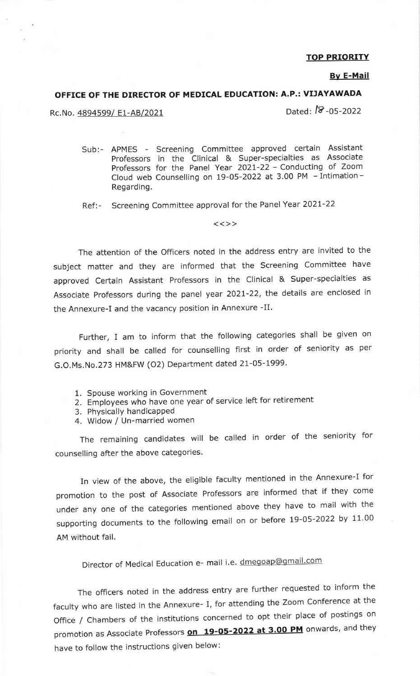## TOP PRIORITY

#### Bv E-Mail

## OFFICE OF THE DIRECTOR OF MEDICAL EDUCATION: A.P.: VIJAYAWADA

Rc.No. 4894599/ E1-AB/2021 Dated: <sup>18</sup>-05-2022

Sub:- APMES - Screening Committee approved certain Assistant Professors in the Clinical & Super-specialties as Associate Professors for the Panel Year 2O2t-22 - Conducting of Zoom Cloud web Counselling on 19-05-2022 at 3.00 PM - Intimation - Regarding.

Ref:- Screening Committee approval for the Panel Year 2021-22

 $<<$ >>

The attention of the officers noted in the address entry are invited to the subject matter and they are informed that the screening committee have approved Certain Assistant Professors in the Clinical & Super-specialties as Associate Professors during the panel year 2O2L-22, the details are enclosed in the Annexure-I and the vacancy position in Annexure -II.

Further, I am to inform that the following categories shall be given on priority and shall be called for counselling first in order of seniority as per G.O.Ms.No.273 HM&FW (O2) Department dated 21-05-1999.

- 1. Spouse working in Government
- 2. Employees who have one year of service left for retirement
- 3. Physically handicapped
- 4. Widow / Un-married women

The remaining candidates will be called in order of the seniority for counselling after the above categories.

In view of the above, the eligible faculty mentioned in the Annexure-I for promotion to the post of Associate Professors are informed that if they come under any one of the categories mentioned above they have to mail with the supporting documents to the following email on or before 19-05-2022 by 11.00 AM without fail.

Director of Medical Education e- mail i.e. dmegoap@gmail.com

The officers noted in the address entry are further requested to inform the faculty who are listed in the Annexure- I, for attending the Zoom Conference at the Office / Chambers of the institutions concerned to opt their place of postings on promotion as Associate Professors **on 19-05-2022 at 3.00 PM** onwards, and they have to follow the instructions given below: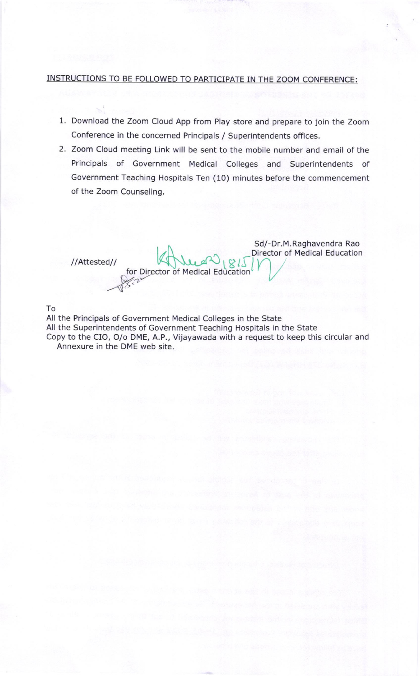## INSTRUCTIONS TO BE FOLLOWED TO PARTICIPATE IN THE ZOOM CONFERENCE:

- 1. Download the Zoom Cloud App from Play store and prepare to join the Zoom Conference in the concerned Principals / Superintendents offices.
- 2. Zoom Cloud meeting Link will be sent to the mobile number and email of the Principals of Government Medical Colleges and Superintendents of Government Teaching Hospitals Ten (10) minutes before the commencement of the Zoom Counseling.

 $1/815$ <br> $1815$ 

- W. 22

Sd/-Dr.M. Raghavendra Rao Director of Medical Education

## To

All the Principals of Government Medical Colleges in the State All the Superintendents of Government Teaching Hospitals in the State Copy to the CIO, O/o DME, A.P., Vijayawada with a request to keep this circular and Annexure in the DME web site.

for Director of Medical Education